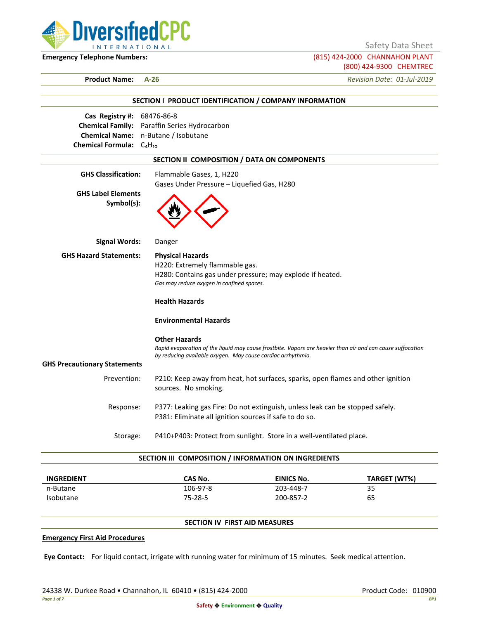

Safety Data Sheet

**Emergency Telephone Numbers:** (815) 424-2000 CHANNAHON PLANT (800) 424-9300 CHEMTREC

**Product Name: A-26** *Revision Date: 01-Jul-2019*

|                                     | SECTION I PRODUCT IDENTIFICATION / COMPANY INFORMATION                                                     |
|-------------------------------------|------------------------------------------------------------------------------------------------------------|
| Cas Registry #: 68476-86-8          |                                                                                                            |
|                                     | <b>Chemical Family:</b> Paraffin Series Hydrocarbon<br>Chemical Name: n-Butane / Isobutane                 |
| Chemical Formula: $C_4H_{10}$       |                                                                                                            |
|                                     |                                                                                                            |
|                                     | SECTION II COMPOSITION / DATA ON COMPONENTS                                                                |
| <b>GHS Classification:</b>          | Flammable Gases, 1, H220                                                                                   |
| <b>GHS Label Elements</b>           | Gases Under Pressure - Liquefied Gas, H280                                                                 |
| Symbol(s):                          |                                                                                                            |
| <b>Signal Words:</b>                | Danger                                                                                                     |
| <b>GHS Hazard Statements:</b>       | <b>Physical Hazards</b>                                                                                    |
|                                     | H220: Extremely flammable gas.                                                                             |
|                                     | H280: Contains gas under pressure; may explode if heated.                                                  |
|                                     | Gas may reduce oxygen in confined spaces.                                                                  |
|                                     | <b>Health Hazards</b>                                                                                      |
|                                     | <b>Environmental Hazards</b>                                                                               |
|                                     | <b>Other Hazards</b>                                                                                       |
|                                     | Rapid evaporation of the liquid may cause frostbite. Vapors are heavier than air and can cause suffocation |
| <b>GHS Precautionary Statements</b> | by reducing available oxygen. May cause cardiac arrhythmia.                                                |
|                                     |                                                                                                            |
| Prevention:                         | P210: Keep away from heat, hot surfaces, sparks, open flames and other ignition<br>sources. No smoking.    |
| Response:                           | P377: Leaking gas Fire: Do not extinguish, unless leak can be stopped safely.                              |
|                                     | P381: Eliminate all ignition sources if safe to do so.                                                     |
| Storage:                            | P410+P403: Protect from sunlight. Store in a well-ventilated place.                                        |

| <b>INGREDIENT</b> | CAS No.  | <b>EINICS No.</b> | TARGET (WT%) |
|-------------------|----------|-------------------|--------------|
| n-Butane          | 106-97-8 | 203-448-7         | 35           |
| <b>Isobutane</b>  | 75-28-5  | 200-857-2         | 65           |

# **SECTION IV FIRST AID MEASURES**

#### **Emergency First Aid Procedures**

**Eye Contact:** For liquid contact, irrigate with running water for minimum of 15 minutes. Seek medical attention.

24338 W. Durkee Road • Channahon, IL 60410 • (815) 424-2000 Product Code: 010900 Product Code: 010900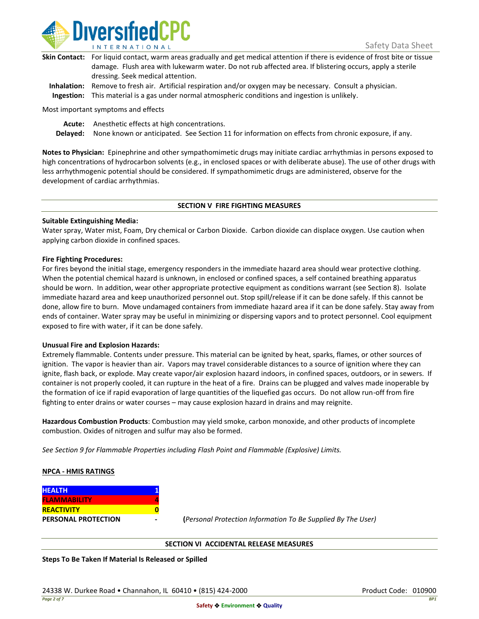

| Skin Contact: For liquid contact, warm areas gradually and get medical attention if there is evidence of frost bite or tissue |
|-------------------------------------------------------------------------------------------------------------------------------|
| damage. Flush area with lukewarm water. Do not rub affected area. If blistering occurs, apply a sterile                       |
| dressing. Seek medical attention.                                                                                             |
|                                                                                                                               |

**Inhalation:** Remove to fresh air. Artificial respiration and/or oxygen may be necessary. Consult a physician. **Ingestion:** This material is a gas under normal atmospheric conditions and ingestion is unlikely.

Most important symptoms and effects

**Acute:** Anesthetic effects at high concentrations.

**Delayed:** None known or anticipated. See Section 11 for information on effects from chronic exposure, if any.

**Notes to Physician:** Epinephrine and other sympathomimetic drugs may initiate cardiac arrhythmias in persons exposed to high concentrations of hydrocarbon solvents (e.g., in enclosed spaces or with deliberate abuse). The use of other drugs with less arrhythmogenic potential should be considered. If sympathomimetic drugs are administered, observe for the development of cardiac arrhythmias.

## **SECTION V FIRE FIGHTING MEASURES**

## **Suitable Extinguishing Media:**

Water spray, Water mist, Foam, Dry chemical or Carbon Dioxide. Carbon dioxide can displace oxygen. Use caution when applying carbon dioxide in confined spaces.

## **Fire Fighting Procedures:**

For fires beyond the initial stage, emergency responders in the immediate hazard area should wear protective clothing. When the potential chemical hazard is unknown, in enclosed or confined spaces, a self contained breathing apparatus should be worn. In addition, wear other appropriate protective equipment as conditions warrant (see Section 8). Isolate immediate hazard area and keep unauthorized personnel out. Stop spill/release if it can be done safely. If this cannot be done, allow fire to burn. Move undamaged containers from immediate hazard area if it can be done safely. Stay away from ends of container. Water spray may be useful in minimizing or dispersing vapors and to protect personnel. Cool equipment exposed to fire with water, if it can be done safely.

## **Unusual Fire and Explosion Hazards:**

Extremely flammable. Contents under pressure. This material can be ignited by heat, sparks, flames, or other sources of ignition. The vapor is heavier than air. Vapors may travel considerable distances to a source of ignition where they can ignite, flash back, or explode. May create vapor/air explosion hazard indoors, in confined spaces, outdoors, or in sewers. If container is not properly cooled, it can rupture in the heat of a fire. Drains can be plugged and valves made inoperable by the formation of ice if rapid evaporation of large quantities of the liquefied gas occurs. Do not allow run-off from fire fighting to enter drains or water courses – may cause explosion hazard in drains and may reignite.

**Hazardous Combustion Products**: Combustion may yield smoke, carbon monoxide, and other products of incomplete combustion. Oxides of nitrogen and sulfur may also be formed.

*See Section 9 for Flammable Properties including Flash Point and Flammable (Explosive) Limits.*

## **NPCA - HMIS RATINGS**

| <b>HEALTH</b>              |  |
|----------------------------|--|
| <b>FLAMMABILITY</b>        |  |
| <b>REACTIVITY</b>          |  |
| <b>PERSONAL PROTECTION</b> |  |

**PERSONAL PROTECTION - (***Personal Protection Information To Be Supplied By The User)*

## **SECTION VI ACCIDENTAL RELEASE MEASURES**

**Steps To Be Taken If Material Is Released or Spilled**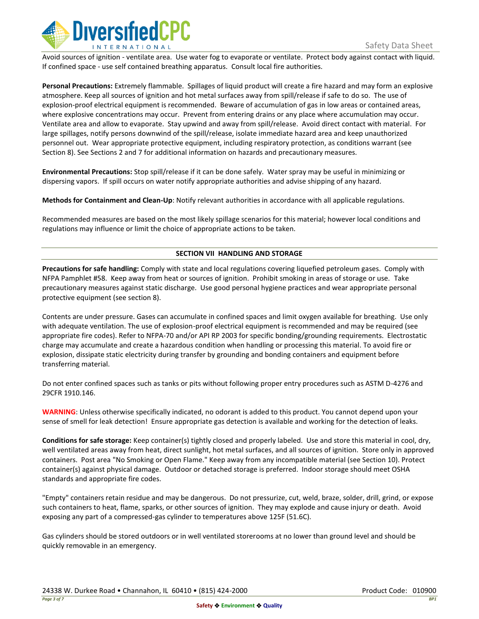

Avoid sources of ignition - ventilate area. Use water fog to evaporate or ventilate. Protect body against contact with liquid. If confined space - use self contained breathing apparatus. Consult local fire authorities.

**Personal Precautions:** Extremely flammable. Spillages of liquid product will create a fire hazard and may form an explosive atmosphere. Keep all sources of ignition and hot metal surfaces away from spill/release if safe to do so. The use of explosion-proof electrical equipment is recommended. Beware of accumulation of gas in low areas or contained areas, where explosive concentrations may occur. Prevent from entering drains or any place where accumulation may occur. Ventilate area and allow to evaporate. Stay upwind and away from spill/release. Avoid direct contact with material. For large spillages, notify persons downwind of the spill/release, isolate immediate hazard area and keep unauthorized personnel out. Wear appropriate protective equipment, including respiratory protection, as conditions warrant (see Section 8). See Sections 2 and 7 for additional information on hazards and precautionary measures.

**Environmental Precautions:** Stop spill/release if it can be done safely. Water spray may be useful in minimizing or dispersing vapors. If spill occurs on water notify appropriate authorities and advise shipping of any hazard.

**Methods for Containment and Clean-Up**: Notify relevant authorities in accordance with all applicable regulations.

Recommended measures are based on the most likely spillage scenarios for this material; however local conditions and regulations may influence or limit the choice of appropriate actions to be taken.

# **SECTION VII HANDLING AND STORAGE**

**Precautions for safe handling:** Comply with state and local regulations covering liquefied petroleum gases. Comply with NFPA Pamphlet #58. Keep away from heat or sources of ignition. Prohibit smoking in areas of storage or use. Take precautionary measures against static discharge. Use good personal hygiene practices and wear appropriate personal protective equipment (see section 8).

Contents are under pressure. Gases can accumulate in confined spaces and limit oxygen available for breathing. Use only with adequate ventilation. The use of explosion-proof electrical equipment is recommended and may be required (see appropriate fire codes). Refer to NFPA-70 and/or API RP 2003 for specific bonding/grounding requirements. Electrostatic charge may accumulate and create a hazardous condition when handling or processing this material. To avoid fire or explosion, dissipate static electricity during transfer by grounding and bonding containers and equipment before transferring material.

Do not enter confined spaces such as tanks or pits without following proper entry procedures such as ASTM D-4276 and 29CFR 1910.146.

**WARNING**: Unless otherwise specifically indicated, no odorant is added to this product. You cannot depend upon your sense of smell for leak detection! Ensure appropriate gas detection is available and working for the detection of leaks.

**Conditions for safe storage:** Keep container(s) tightly closed and properly labeled. Use and store this material in cool, dry, well ventilated areas away from heat, direct sunlight, hot metal surfaces, and all sources of ignition. Store only in approved containers. Post area "No Smoking or Open Flame." Keep away from any incompatible material (see Section 10). Protect container(s) against physical damage. Outdoor or detached storage is preferred. Indoor storage should meet OSHA standards and appropriate fire codes.

"Empty" containers retain residue and may be dangerous. Do not pressurize, cut, weld, braze, solder, drill, grind, or expose such containers to heat, flame, sparks, or other sources of ignition. They may explode and cause injury or death. Avoid exposing any part of a compressed-gas cylinder to temperatures above 125F (51.6C).

Gas cylinders should be stored outdoors or in well ventilated storerooms at no lower than ground level and should be quickly removable in an emergency.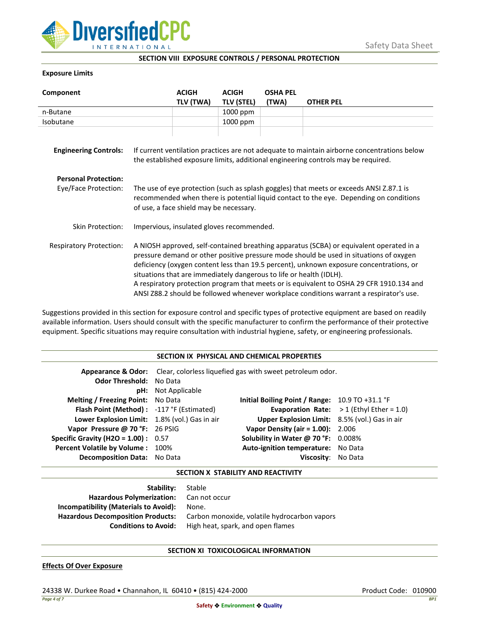

**SECTION VIII EXPOSURE CONTROLS / PERSONAL PROTECTION**

# **Exposure Limits**

| Component                                           |                                                                                                                                                                                                                                                                                                                                                                                                                                                                                                                                            | <b>ACIGH</b><br>TLV (TWA) | <b>ACIGH</b><br><b>TLV (STEL)</b> | <b>OSHA PEL</b><br>(TWA) | <b>OTHER PEL</b> |
|-----------------------------------------------------|--------------------------------------------------------------------------------------------------------------------------------------------------------------------------------------------------------------------------------------------------------------------------------------------------------------------------------------------------------------------------------------------------------------------------------------------------------------------------------------------------------------------------------------------|---------------------------|-----------------------------------|--------------------------|------------------|
| n-Butane                                            |                                                                                                                                                                                                                                                                                                                                                                                                                                                                                                                                            |                           | 1000 ppm                          |                          |                  |
| Isobutane                                           |                                                                                                                                                                                                                                                                                                                                                                                                                                                                                                                                            |                           | 1000 ppm                          |                          |                  |
| <b>Engineering Controls:</b>                        | If current ventilation practices are not adequate to maintain airborne concentrations below<br>the established exposure limits, additional engineering controls may be required.                                                                                                                                                                                                                                                                                                                                                           |                           |                                   |                          |                  |
| <b>Personal Protection:</b><br>Eye/Face Protection: | The use of eye protection (such as splash goggles) that meets or exceeds ANSI Z.87.1 is<br>recommended when there is potential liquid contact to the eye. Depending on conditions<br>of use, a face shield may be necessary.                                                                                                                                                                                                                                                                                                               |                           |                                   |                          |                  |
| Skin Protection:                                    | Impervious, insulated gloves recommended.                                                                                                                                                                                                                                                                                                                                                                                                                                                                                                  |                           |                                   |                          |                  |
| <b>Respiratory Protection:</b>                      | A NIOSH approved, self-contained breathing apparatus (SCBA) or equivalent operated in a<br>pressure demand or other positive pressure mode should be used in situations of oxygen<br>deficiency (oxygen content less than 19.5 percent), unknown exposure concentrations, or<br>situations that are immediately dangerous to life or health (IDLH).<br>A respiratory protection program that meets or is equivalent to OSHA 29 CFR 1910.134 and<br>ANSI Z88.2 should be followed whenever workplace conditions warrant a respirator's use. |                           |                                   |                          |                  |

Suggestions provided in this section for exposure control and specific types of protective equipment are based on readily available information. Users should consult with the specific manufacturer to confirm the performance of their protective equipment. Specific situations may require consultation with industrial hygiene, safety, or engineering professionals.

| <b>Appearance &amp; Odor:</b> Clear, colorless liquefied gas with sweet petroleum odor.<br><b>Odor Threshold: No Data</b> |  |  |  |  |
|---------------------------------------------------------------------------------------------------------------------------|--|--|--|--|
|                                                                                                                           |  |  |  |  |
|                                                                                                                           |  |  |  |  |
| <b>pH:</b> Not Applicable                                                                                                 |  |  |  |  |
| <b>Melting / Freezing Point:</b> No Data<br>Initial Boiling Point / Range: $10.9$ TO +31.1 °F                             |  |  |  |  |
| Flash Point (Method): -117 °F (Estimated)<br><b>Evaporation Rate:</b> $>1$ (Ethyl Ether = 1.0)                            |  |  |  |  |
| Lower Explosion Limit: 1.8% (vol.) Gas in air<br><b>Upper Explosion Limit:</b> 8.5% (vol.) Gas in air                     |  |  |  |  |
| <b>Vapor Density (air = 1.00):</b> 2.006<br>Vapor Pressure @ 70 °F: 26 PSIG                                               |  |  |  |  |
| <b>Specific Gravity (H2O = 1.00):</b> $0.57$<br>Solubility in Water @ 70 °F: $0.008\%$                                    |  |  |  |  |
| Percent Volatile by Volume: 100%<br>Auto-ignition temperature: No Data                                                    |  |  |  |  |
| Decomposition Data: No Data<br>Viscositv:<br>No Data                                                                      |  |  |  |  |

## **SECTION X STABILITY AND REACTIVITY**

| <b>Stability:</b> Stable                 |                                              |
|------------------------------------------|----------------------------------------------|
| <b>Hazardous Polymerization:</b>         | Can not occur                                |
| Incompatibility (Materials to Avoid):    | None.                                        |
| <b>Hazardous Decomposition Products:</b> | Carbon monoxide, volatile hydrocarbon vapors |
| <b>Conditions to Avoid:</b>              | High heat, spark, and open flames            |

## **SECTION XI TOXICOLOGICAL INFORMATION**

## **Effects Of Over Exposure**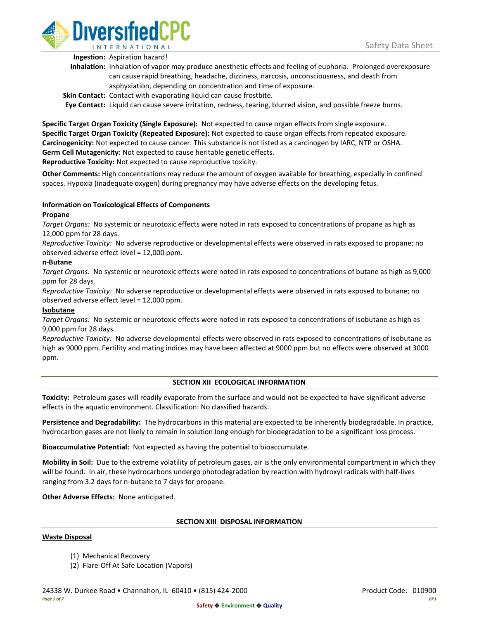

**Ingestion:** Aspiration hazard!

- **Inhalation:** Inhalation of vapor may produce anesthetic effects and feeling of euphoria. Prolonged overexposure can cause rapid breathing, headache, dizziness, narcosis, unconsciousness, and death from asphyxiation, depending on concentration and time of exposure.
- **Skin Contact:** Contact with evaporating liquid can cause frostbite.

**Eye Contact:** Liquid can cause severe irritation, redness, tearing, blurred vision, and possible freeze burns.

**Specific Target Organ Toxicity (Single Exposure):** Not expected to cause organ effects from single exposure. **Specific Target Organ Toxicity (Repeated Exposure):** Not expected to cause organ effects from repeated exposure. **Carcinogenicity:** Not expected to cause cancer. This substance is not listed as a carcinogen by IARC, NTP or OSHA. **Germ Cell Mutagenicity:** Not expected to cause heritable genetic effects. **Reproductive Toxicity:** Not expected to cause reproductive toxicity.

**Other Comments:** High concentrations may reduce the amount of oxygen available for breathing, especially in confined spaces. Hypoxia (inadequate oxygen) during pregnancy may have adverse effects on the developing fetus.

# **Information on Toxicological Effects of Components**

## **Propane**

*Target Organs:* No systemic or neurotoxic effects were noted in rats exposed to concentrations of propane as high as 12,000 ppm for 28 days.

*Reproductive Toxicity:* No adverse reproductive or developmental effects were observed in rats exposed to propane; no observed adverse effect level = 12,000 ppm.

## **n-Butane**

*Target Organs:* No systemic or neurotoxic effects were noted in rats exposed to concentrations of butane as high as 9,000 ppm for 28 days.

*Reproductive Toxicity:* No adverse reproductive or developmental effects were observed in rats exposed to butane; no observed adverse effect level = 12,000 ppm.

## **Isobutane**

*Target Organs:* No systemic or neurotoxic effects were noted in rats exposed to concentrations of isobutane as high as 9,000 ppm for 28 days.

*Reproductive Toxicity:* No adverse developmental effects were observed in rats exposed to concentrations of isobutane as high as 9000 ppm. Fertility and mating indices may have been affected at 9000 ppm but no effects were observed at 3000 ppm.

# **SECTION XII ECOLOGICAL INFORMATION**

**Toxicity:** Petroleum gases will readily evaporate from the surface and would not be expected to have significant adverse effects in the aquatic environment. Classification: No classified hazards.

**Persistence and Degradability:** The hydrocarbons in this material are expected to be inherently biodegradable. In practice, hydrocarbon gases are not likely to remain in solution long enough for biodegradation to be a significant loss process.

**Bioaccumulative Potential:** Not expected as having the potential to bioaccumulate.

**Mobility in Soil:** Due to the extreme volatility of petroleum gases, air is the only environmental compartment in which they will be found. In air, these hydrocarbons undergo photodegradation by reaction with hydroxyl radicals with half-lives ranging from 3.2 days for n-butane to 7 days for propane.

**Other Adverse Effects:** None anticipated.

## **SECTION XIII DISPOSAL INFORMATION**

## **Waste Disposal**

- (1) Mechanical Recovery
- (2) Flare-Off At Safe Location (Vapors)

24338 W. Durkee Road • Channahon, IL 60410 • (815) 424-2000 Product Code: 010900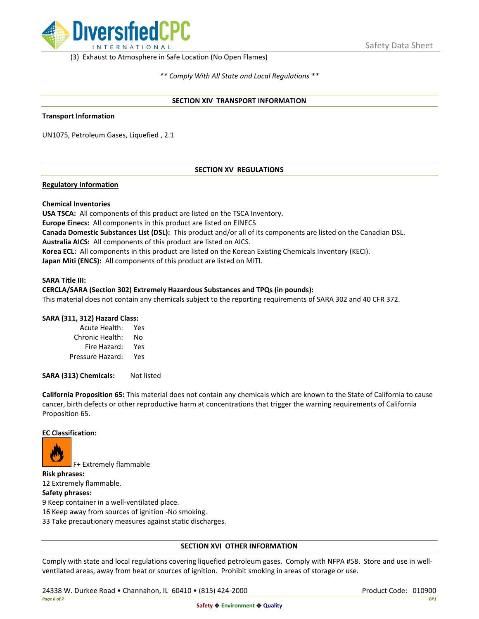

(3) Exhaust to Atmosphere in Safe Location (No Open Flames)

*\*\* Comply With All State and Local Regulations \*\**

#### **SECTION XIV TRANSPORT INFORMATION**

#### **Transport Information**

UN1075, Petroleum Gases, Liquefied , 2.1

# **SECTION XV REGULATIONS**

## **Regulatory Information**

#### **Chemical Inventories**

**USA TSCA:** All components of this product are listed on the TSCA Inventory. **Europe Einecs:** All components in this product are listed on EINECS **Canada Domestic Substances List (DSL):** This product and/or all of its components are listed on the Canadian DSL. **Australia AICS:** All components of this product are listed on AICS. **Korea ECL:** All components in this product are listed on the Korean Existing Chemicals Inventory (KECI). **Japan Miti (ENCS):** All components of this product are listed on MITI.

#### **SARA Title III:**

# **CERCLA/SARA (Section 302) Extremely Hazardous Substances and TPQs (in pounds):**

This material does not contain any chemicals subject to the reporting requirements of SARA 302 and 40 CFR 372.

## **SARA (311, 312) Hazard Class:**

| Acute Health:    | Yes |
|------------------|-----|
| Chronic Health:  | No  |
| Fire Hazard:     | Yes |
| Pressure Hazard: | Yes |

**SARA (313) Chemicals:** Not listed

**California Proposition 65:** This material does not contain any chemicals which are known to the State of California to cause cancer, birth defects or other reproductive harm at concentrations that trigger the warning requirements of California Proposition 65.

## **EC Classification:**



F+ Extremely flammable

**Risk phrases:**

12 Extremely flammable.

**Safety phrases:**

9 Keep container in a well-ventilated place.

16 Keep away from sources of ignition -No smoking.

33 Take precautionary measures against static discharges.

## **SECTION XVI OTHER INFORMATION**

Comply with state and local regulations covering liquefied petroleum gases. Comply with NFPA #58. Store and use in wellventilated areas, away from heat or sources of ignition. Prohibit smoking in areas of storage or use.